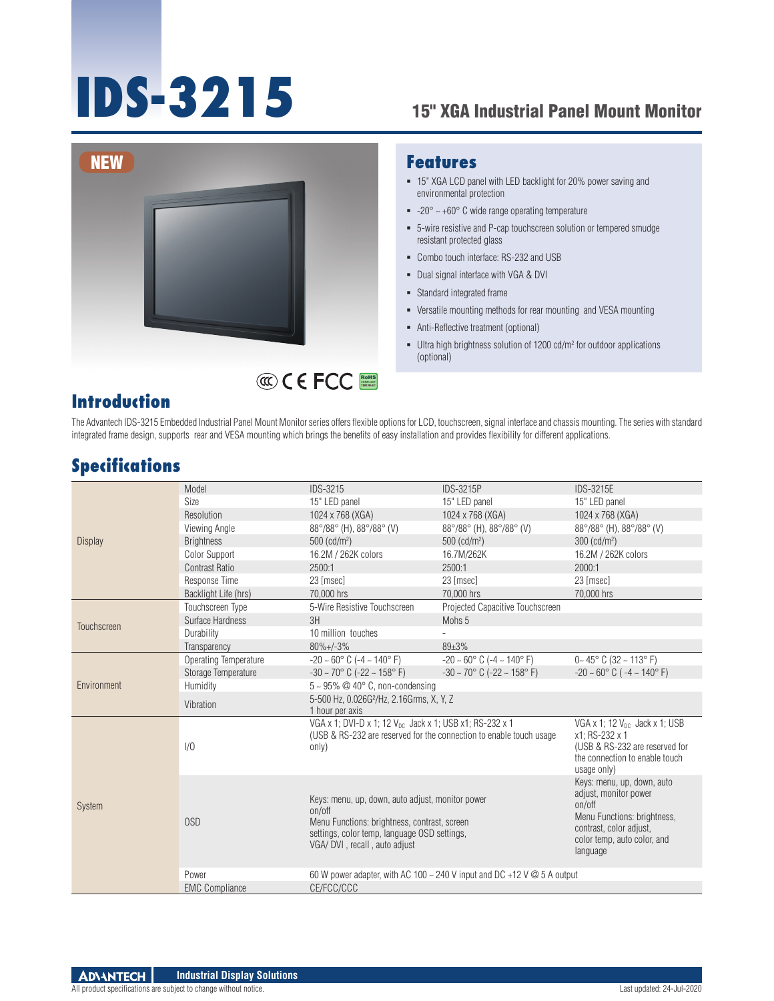# **IDS-3215** 15" XGA Industrial Panel Mount Monitor



#### **Features**

- 15" XGA LCD panel with LED backlight for 20% power saving and environmental protection
- $-20^{\circ} \sim +60^{\circ}$  C wide range operating temperature
- 5-wire resistive and P-cap touchscreen solution or tempered smudge resistant protected glass
- Combo touch interface: RS-232 and USB
- Dual signal interface with VGA & DVI
- Standard integrated frame
- Versatile mounting methods for rear mounting and VESA mounting
- Anti-Reflective treatment (optional)
- $\blacksquare$  Ultra high brightness solution of 1200 cd/m<sup>2</sup> for outdoor applications (optional)

#### **Introduction**

The Advantech IDS-3215 Embedded Industrial Panel Mount Monitor series offers flexible options for LCD, touchscreen, signal interface and chassis mounting. The series with standard integrated frame design, supports rear and VESA mounting which brings the benefits of easy installation and provides flexibility for different applications.

RoHS **COMPLIANT 2002/95/EC**

#### **Specifications**

| <b>Display</b> | Model                 | <b>IDS-3215</b>                                                                                                                                                                             | <b>IDS-3215P</b>                                    | <b>IDS-3215E</b>                                                                                                                                                   |
|----------------|-----------------------|---------------------------------------------------------------------------------------------------------------------------------------------------------------------------------------------|-----------------------------------------------------|--------------------------------------------------------------------------------------------------------------------------------------------------------------------|
|                | Size                  | 15" LED panel                                                                                                                                                                               | 15" LED panel                                       | 15" LED panel                                                                                                                                                      |
|                | Resolution            | 1024 x 768 (XGA)                                                                                                                                                                            | 1024 x 768 (XGA)                                    | 1024 x 768 (XGA)                                                                                                                                                   |
|                | Viewing Angle         | 88°/88° (H), 88°/88° (V)                                                                                                                                                                    | 88°/88° (H), 88°/88° (V)                            | 88°/88° (H), 88°/88° (V)                                                                                                                                           |
|                | <b>Brightness</b>     | $500$ (cd/m <sup>2</sup> )                                                                                                                                                                  | $500$ (cd/m <sup>2</sup> )                          | $300$ (cd/m <sup>2</sup> )                                                                                                                                         |
|                | Color Support         | 16.2M / 262K colors                                                                                                                                                                         | 16.7M/262K                                          | 16.2M / 262K colors                                                                                                                                                |
|                | <b>Contrast Ratio</b> | 2500:1                                                                                                                                                                                      | 2500:1                                              | 2000:1                                                                                                                                                             |
|                | Response Time         | 23 [msec]                                                                                                                                                                                   | 23 [msec]                                           | 23 [msec]                                                                                                                                                          |
|                | Backlight Life (hrs)  | 70,000 hrs                                                                                                                                                                                  | 70,000 hrs                                          | 70,000 hrs                                                                                                                                                         |
| Touchscreen    | Touchscreen Type      | 5-Wire Resistive Touchscreen                                                                                                                                                                | Projected Capacitive Touchscreen                    |                                                                                                                                                                    |
|                | Surface Hardness      | 3H                                                                                                                                                                                          | Mohs 5                                              |                                                                                                                                                                    |
|                | Durability            | 10 million touches                                                                                                                                                                          |                                                     |                                                                                                                                                                    |
|                | Transparency          | $80\% + (-3\%$                                                                                                                                                                              | 89±3%                                               |                                                                                                                                                                    |
| Environment    | Operating Temperature | $-20 \sim 60^{\circ}$ C ( $-4 \sim 140^{\circ}$ F)                                                                                                                                          | $-20 \sim 60^{\circ}$ C ( $-4 \sim 140^{\circ}$ F)  | $0 - 45^{\circ}$ C (32 ~ 113° F)                                                                                                                                   |
|                | Storage Temperature   | $-30 \sim 70^{\circ}$ C ( $-22 \sim 158^{\circ}$ F)                                                                                                                                         | $-30 \sim 70^{\circ}$ C ( $-22 \sim 158^{\circ}$ F) | $-20 \sim 60^{\circ}$ C ( $-4 \sim 140^{\circ}$ F)                                                                                                                 |
|                | Humidity              | $5 \sim 95\%$ @ 40° C, non-condensing                                                                                                                                                       |                                                     |                                                                                                                                                                    |
|                | Vibration             | 5-500 Hz, 0.026G <sup>2</sup> /Hz, 2.16Grms, X, Y, Z<br>1 hour per axis                                                                                                                     |                                                     |                                                                                                                                                                    |
| <b>System</b>  | 1/0                   | VGA x 1; DVI-D x 1; 12 V <sub>DC</sub> Jack x 1; USB x1; RS-232 x 1<br>(USB & RS-232 are reserved for the connection to enable touch usage<br>only)                                         |                                                     | VGA x 1; 12 V <sub>DC</sub> Jack x 1; USB<br>x1; RS-232 x 1<br>(USB & RS-232 are reserved for<br>the connection to enable touch<br>usage only)                     |
|                | 0SD                   | Keys: menu, up, down, auto adjust, monitor power<br>on/off<br>Menu Functions: brightness, contrast, screen<br>settings, color temp, language OSD settings,<br>VGA/ DVI, recall, auto adjust |                                                     | Keys: menu, up, down, auto<br>adjust, monitor power<br>on/off<br>Menu Functions: brightness,<br>contrast, color adjust,<br>color temp, auto color, and<br>language |
|                | Power                 | 60 W power adapter, with AC 100 $\sim$ 240 V input and DC +12 V $\omega$ 5 A output                                                                                                         |                                                     |                                                                                                                                                                    |
|                | <b>EMC Compliance</b> | CE/FCC/CCC                                                                                                                                                                                  |                                                     |                                                                                                                                                                    |
|                |                       |                                                                                                                                                                                             |                                                     |                                                                                                                                                                    |